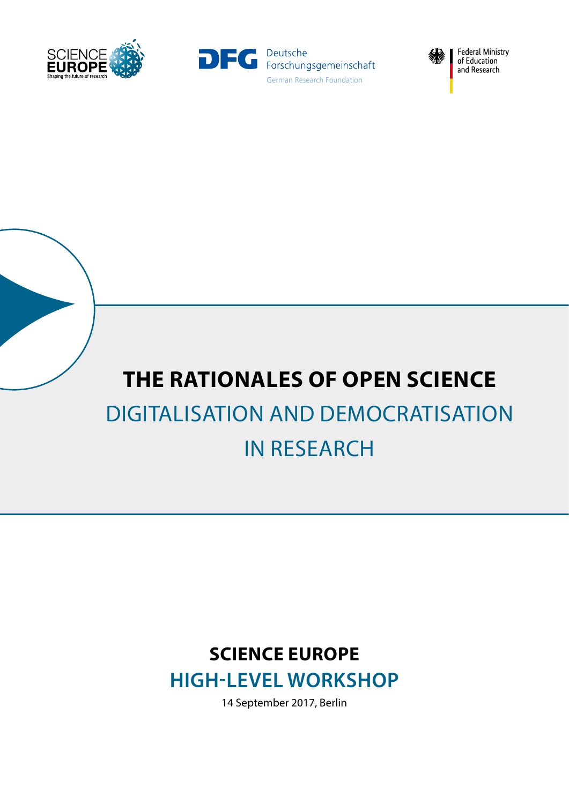





Federal Ministry<br>of Education and Research

# **THE RATIONALES OF OPEN SCIENCE** DIGITALISATION AND DEMOCRATISATION IN RESEARCH

## **SCIENCE EUROPE HIGH-LEVEL WORKSHOP**

14 September 2017, Berlin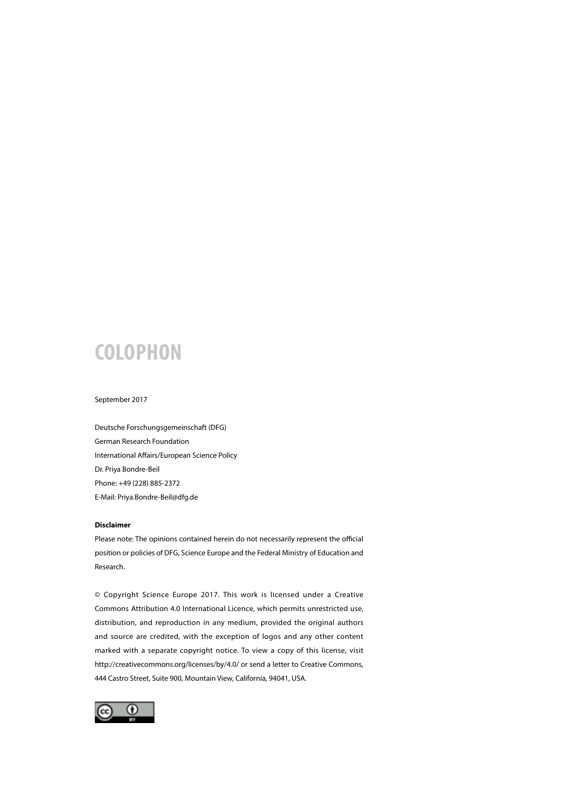## **COLOPHON**

#### September 2017

Deutsche Forschungsgemeinschaft (DFG) German Research Foundation International Affairs/European Science Policy Dr. Priya Bondre-Beil Phone: +49 (228) 885-2372 E-Mail: [Priya.Bondre-Beil@dfg.de](mailto:Priya.Bondre-Beil@dfg.de)

#### **Disclaimer**

Please note: The opinions contained herein do not necessarily represent the official position or policies of DFG, Science Europe and the Federal Ministry of Education and Research.

© Copyright Science Europe 2017. This work is licensed under a Creative Commons Attribution 4.0 International Licence, which permits unrestricted use, distribution, and reproduction in any medium, provided the original authors and source are credited, with the exception of logos and any other content marked with a separate copyright notice. To view a copy of this license, visit http://creativecommons.org/licenses/by/4.0/ or send a letter to Creative Commons, 444 Castro Street, Suite 900, Mountain View, California, 94041, USA.

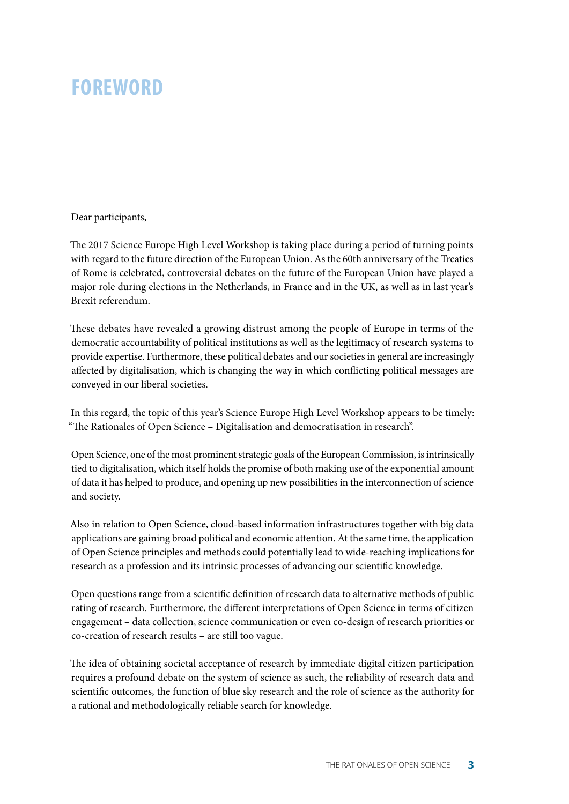## **FOREWORD**

Dear participants,

The 2017 Science Europe High Level Workshop is taking place during a period of turning points with regard to the future direction of the European Union. As the 60th anniversary of the Treaties of Rome is celebrated, controversial debates on the future of the European Union have played a major role during elections in the Netherlands, in France and in the UK, as well as in last year's Brexit referendum.

These debates have revealed a growing distrust among the people of Europe in terms of the democratic accountability of political institutions as well as the legitimacy of research systems to provide expertise. Furthermore, these political debates and our societies in general are increasingly affected by digitalisation, which is changing the way in which conflicting political messages are conveyed in our liberal societies.

In this regard, the topic of this year's Science Europe High Level Workshop appears to be timely: "The Rationales of Open Science – Digitalisation and democratisation in research".

Open Science, one of the most prominent strategic goals of the European Commission, is intrinsically tied to digitalisation, which itself holds the promise of both making use of the exponential amount of data it has helped to produce, and opening up new possibilities in the interconnection of science and society.

Also in relation to Open Science, cloud-based information infrastructures together with big data applications are gaining broad political and economic attention. At the same time, the application of Open Science principles and methods could potentially lead to wide-reaching implications for research as a profession and its intrinsic processes of advancing our scientific knowledge.

Open questions range from a scientific definition of research data to alternative methods of public rating of research. Furthermore, the different interpretations of Open Science in terms of citizen engagement – data collection, science communication or even co-design of research priorities or co-creation of research results – are still too vague.

The idea of obtaining societal acceptance of research by immediate digital citizen participation requires a profound debate on the system of science as such, the reliability of research data and scientific outcomes, the function of blue sky research and the role of science as the authority for a rational and methodologically reliable search for knowledge.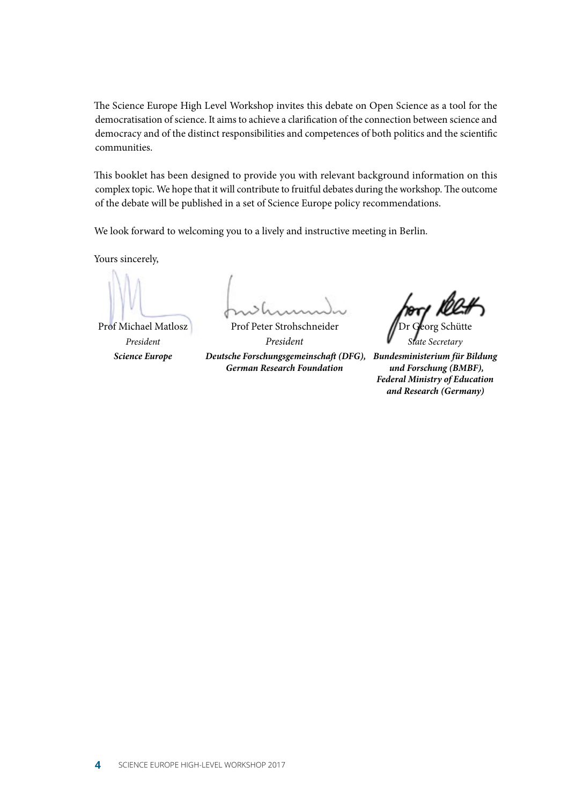The Science Europe High Level Workshop invites this debate on Open Science as a tool for the democratisation of science. It aims to achieve a clarification of the connection between science and democracy and of the distinct responsibilities and competences of both politics and the scientific communities.

This booklet has been designed to provide you with relevant background information on this complex topic. We hope that it will contribute to fruitful debates during the workshop. The outcome of the debate will be published in a set of Science Europe policy recommendations.

We look forward to welcoming you to a lively and instructive meeting in Berlin.

Yours sincerely,

Prof Michael Matlosz *President Science Europe*

Prof Peter Strohschneider *President Deutsche Forschungsgemeinschaft (DFG), German Research Foundation*

Dr Georg Schütte

*State Secretary Bundesministerium für Bildung und Forschung (BMBF), Federal Ministry of Education and Research (Germany)*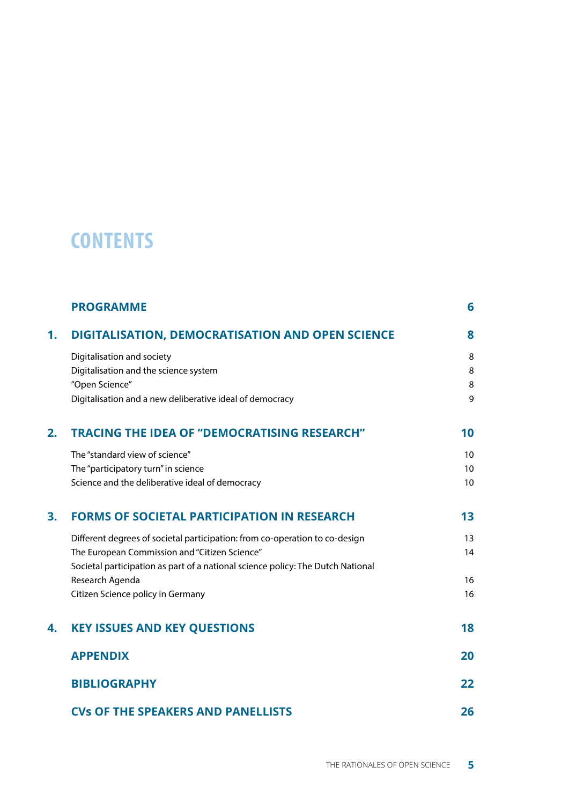## **CONTENTS**

|    | <b>PROGRAMME</b>                                                                | 6  |
|----|---------------------------------------------------------------------------------|----|
| 1. | DIGITALISATION, DEMOCRATISATION AND OPEN SCIENCE                                | 8  |
|    | Digitalisation and society                                                      | 8  |
|    | Digitalisation and the science system                                           | 8  |
|    | "Open Science"                                                                  | 8  |
|    | Digitalisation and a new deliberative ideal of democracy                        | 9  |
| 2. | <b>TRACING THE IDEA OF "DEMOCRATISING RESEARCH"</b>                             | 10 |
|    | The "standard view of science"                                                  | 10 |
|    | The "participatory turn" in science                                             | 10 |
|    | Science and the deliberative ideal of democracy                                 | 10 |
| 3. | <b>FORMS OF SOCIETAL PARTICIPATION IN RESEARCH</b>                              | 13 |
|    | Different degrees of societal participation: from co-operation to co-design     | 13 |
|    | The European Commission and "Citizen Science"                                   | 14 |
|    | Societal participation as part of a national science policy: The Dutch National |    |
|    | Research Agenda                                                                 | 16 |
|    | Citizen Science policy in Germany                                               | 16 |
| 4. | <b>KEY ISSUES AND KEY QUESTIONS</b>                                             | 18 |
|    | <b>APPENDIX</b>                                                                 | 20 |
|    | <b>BIBLIOGRAPHY</b>                                                             | 22 |
|    | <b>CVS OF THE SPEAKERS AND PANELLISTS</b>                                       | 26 |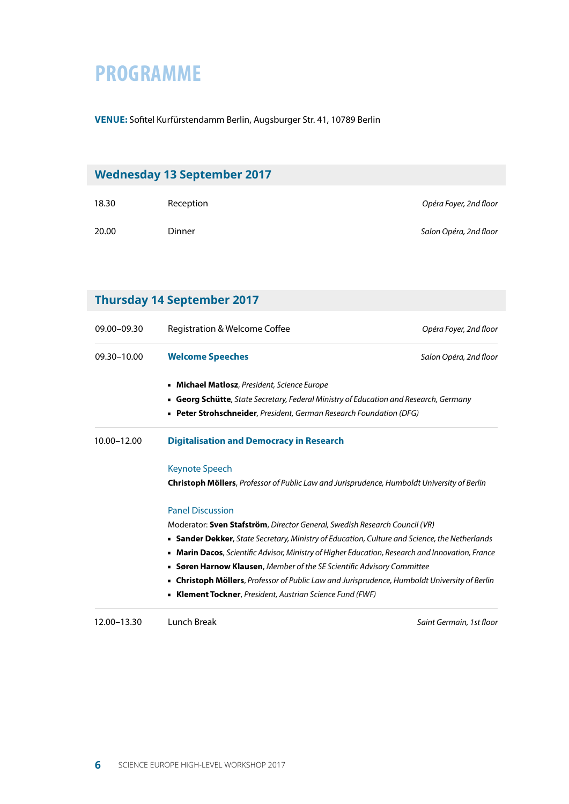## <span id="page-5-0"></span>**PROGRAMME**

#### **VENUE:** Sofitel Kurfürstendamm Berlin, Augsburger Str. 41, 10789 Berlin

| <b>Wednesday 13 September 2017</b> |           |                        |  |  |
|------------------------------------|-----------|------------------------|--|--|
| 18.30                              | Reception | Opéra Foyer, 2nd floor |  |  |
| 20.00                              | Dinner    | Salon Opéra, 2nd floor |  |  |

| <b>Thursday 14 September 2017</b> |                                                                                                     |                          |  |  |  |
|-----------------------------------|-----------------------------------------------------------------------------------------------------|--------------------------|--|--|--|
| 09.00-09.30                       | Registration & Welcome Coffee                                                                       | Opéra Foyer, 2nd floor   |  |  |  |
| 09.30-10.00                       | <b>Welcome Speeches</b>                                                                             | Salon Opéra, 2nd floor   |  |  |  |
|                                   | • Michael Matlosz, President, Science Europe                                                        |                          |  |  |  |
|                                   | <b>Georg Schütte</b> , State Secretary, Federal Ministry of Education and Research, Germany         |                          |  |  |  |
|                                   | • Peter Strohschneider, President, German Research Foundation (DFG)                                 |                          |  |  |  |
| 10.00-12.00                       | <b>Digitalisation and Democracy in Research</b>                                                     |                          |  |  |  |
|                                   | Keynote Speech                                                                                      |                          |  |  |  |
|                                   | Christoph Möllers, Professor of Public Law and Jurisprudence, Humboldt University of Berlin         |                          |  |  |  |
|                                   | <b>Panel Discussion</b>                                                                             |                          |  |  |  |
|                                   | Moderator: Sven Stafström, Director General, Swedish Research Council (VR)                          |                          |  |  |  |
|                                   | <b>Sander Dekker</b> , State Secretary, Ministry of Education, Culture and Science, the Netherlands |                          |  |  |  |
|                                   | • Marin Dacos, Scientific Advisor, Ministry of Higher Education, Research and Innovation, France    |                          |  |  |  |
|                                   | <b>Søren Harnow Klausen</b> , Member of the SE Scientific Advisory Committee                        |                          |  |  |  |
|                                   | • Christoph Möllers, Professor of Public Law and Jurisprudence, Humboldt University of Berlin       |                          |  |  |  |
|                                   | • Klement Tockner, President, Austrian Science Fund (FWF)                                           |                          |  |  |  |
| 12.00-13.30                       | Lunch Break                                                                                         | Saint Germain, 1st floor |  |  |  |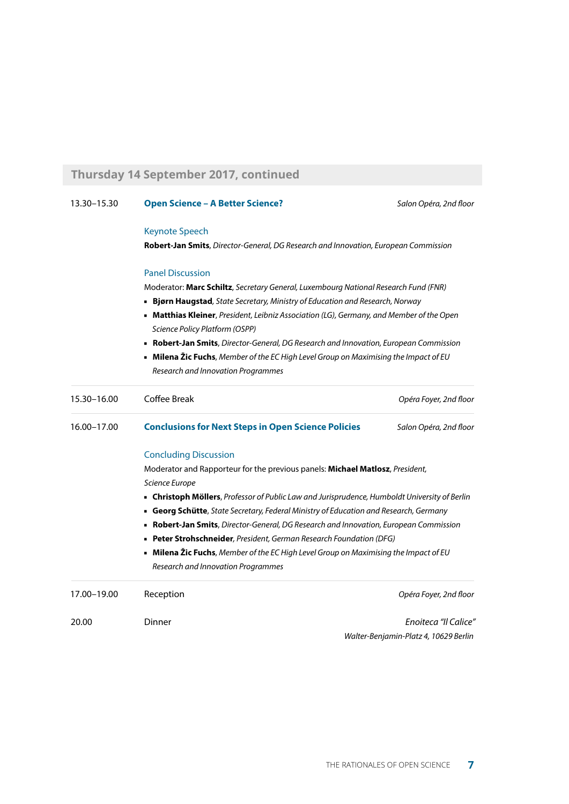### **Thursday 14 September 2017, continued**

| 13.30-15.30 | <b>Open Science - A Better Science?</b>                                                                                                                                                                                                                                                                                                                                                                                                                                                                                                                                                                                       | Salon Opéra, 2nd floor                                               |  |
|-------------|-------------------------------------------------------------------------------------------------------------------------------------------------------------------------------------------------------------------------------------------------------------------------------------------------------------------------------------------------------------------------------------------------------------------------------------------------------------------------------------------------------------------------------------------------------------------------------------------------------------------------------|----------------------------------------------------------------------|--|
|             | <b>Keynote Speech</b><br>Robert-Jan Smits, Director-General, DG Research and Innovation, European Commission                                                                                                                                                                                                                                                                                                                                                                                                                                                                                                                  |                                                                      |  |
|             | <b>Panel Discussion</b><br>Moderator: Marc Schiltz, Secretary General, Luxembourg National Research Fund (FNR)<br><b>Bjørn Haugstad</b> , State Secretary, Ministry of Education and Research, Norway<br><b>Matthias Kleiner</b> , President, Leibniz Association (LG), Germany, and Member of the Open<br>Science Policy Platform (OSPP)<br>• Robert-Jan Smits, Director-General, DG Research and Innovation, European Commission<br>• Milena Žic Fuchs, Member of the EC High Level Group on Maximising the Impact of EU<br>Research and Innovation Programmes                                                              |                                                                      |  |
| 15.30-16.00 | Coffee Break                                                                                                                                                                                                                                                                                                                                                                                                                                                                                                                                                                                                                  | Opéra Foyer, 2nd floor                                               |  |
| 16.00-17.00 | <b>Conclusions for Next Steps in Open Science Policies</b>                                                                                                                                                                                                                                                                                                                                                                                                                                                                                                                                                                    | Salon Opéra, 2nd floor                                               |  |
|             | <b>Concluding Discussion</b><br>Moderator and Rapporteur for the previous panels: Michael Matlosz, President,<br>Science Europe<br>• Christoph Möllers, Professor of Public Law and Jurisprudence, Humboldt University of Berlin<br><b>Georg Schütte</b> , State Secretary, Federal Ministry of Education and Research, Germany<br>• Robert-Jan Smits, Director-General, DG Research and Innovation, European Commission<br>• Peter Strohschneider, President, German Research Foundation (DFG)<br>• Milena Žic Fuchs, Member of the EC High Level Group on Maximising the Impact of EU<br>Research and Innovation Programmes |                                                                      |  |
| 17.00-19.00 | Reception                                                                                                                                                                                                                                                                                                                                                                                                                                                                                                                                                                                                                     | Opéra Foyer, 2nd floor                                               |  |
| 20.00       | Dinner                                                                                                                                                                                                                                                                                                                                                                                                                                                                                                                                                                                                                        | <b>Enoiteca</b> "Il Calice"<br>Walter-Benjamin-Platz 4, 10629 Berlin |  |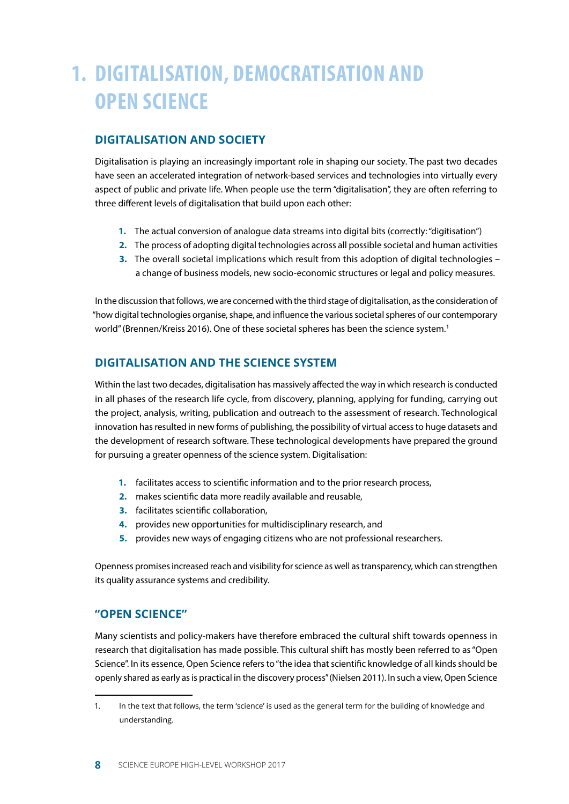# <span id="page-7-0"></span>**1. DIGITALISATION, DEMOCRATISATION AND OPEN SCIENCE**

#### **DIGITALISATION AND SOCIETY**

Digitalisation is playing an increasingly important role in shaping our society. The past two decades have seen an accelerated integration of network-based services and technologies into virtually every aspect of public and private life. When people use the term "digitalisation", they are often referring to three different levels of digitalisation that build upon each other:

- **1.** The actual conversion of analogue data streams into digital bits (correctly: "digitisation")
- **2.** The process of adopting digital technologies across all possible societal and human activities
- **3.** The overall societal implications which result from this adoption of digital technologies a change of business models, new socio-economic structures or legal and policy measures.

In the discussion that follows, we are concerned with the third stage of digitalisation, as the consideration of "how digital technologies organise, shape, and influence the various societal spheres of our contemporary world" (Brennen/Kreiss 2016). One of these societal spheres has been the science system.<sup>1</sup>

#### **DIGITALISATION AND THE SCIENCE SYSTEM**

Within the last two decades, digitalisation has massively affected the way in which research is conducted in all phases of the research life cycle, from discovery, planning, applying for funding, carrying out the project, analysis, writing, publication and outreach to the assessment of research. Technological innovation has resulted in new forms of publishing, the possibility of virtual access to huge datasets and the development of research software. These technological developments have prepared the ground for pursuing a greater openness of the science system. Digitalisation:

- **1.** facilitates access to scientific information and to the prior research process,
- **2.** makes scientific data more readily available and reusable,
- **3.** facilitates scientific collaboration,
- **4.** provides new opportunities for multidisciplinary research, and
- **5.** provides new ways of engaging citizens who are not professional researchers.

Openness promises increased reach and visibility for science as well as transparency, which can strengthen its quality assurance systems and credibility.

#### **"OPEN SCIENCE"**

Many scientists and policy-makers have therefore embraced the cultural shift towards openness in research that digitalisation has made possible. This cultural shift has mostly been referred to as "Open Science". In its essence, Open Science refers to "the idea that scientific knowledge of all kinds should be openly shared as early as is practical in the discovery process" (Nielsen 2011). In such a view, Open Science

<sup>1.</sup> In the text that follows, the term 'science' is used as the general term for the building of knowledge and understanding.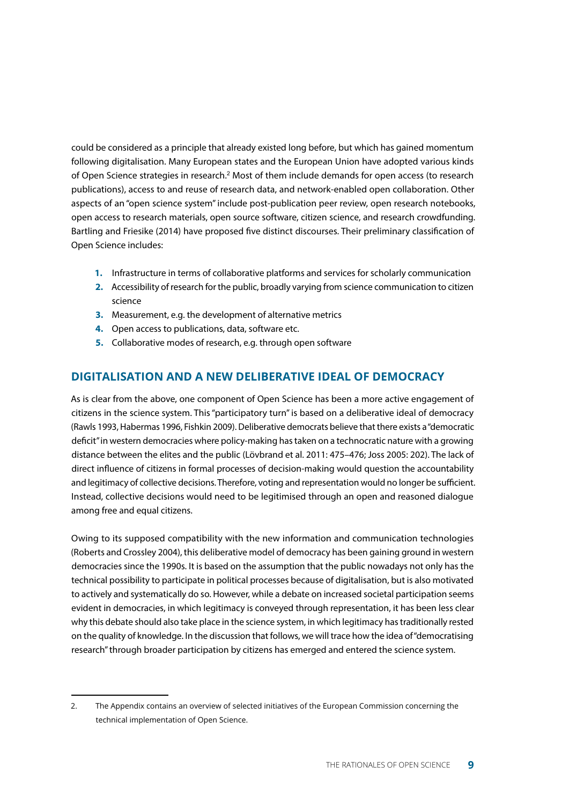<span id="page-8-0"></span>could be considered as a principle that already existed long before, but which has gained momentum following digitalisation. Many European states and the European Union have adopted various kinds of Open Science strategies in research.<sup>2</sup> Most of them include demands for open access (to research publications), access to and reuse of research data, and network-enabled open collaboration. Other aspects of an "open science system" include post-publication peer review, open research notebooks, open access to research materials, open source software, citizen science, and research crowdfunding. Bartling and Friesike (2014) have proposed five distinct discourses. Their preliminary classification of Open Science includes:

- **1.** Infrastructure in terms of collaborative platforms and services for scholarly communication
- **2.** Accessibility of research for the public, broadly varying from science communication to citizen science
- **3.** Measurement, e.g. the development of alternative metrics
- **4.** Open access to publications, data, software etc.
- **5.** Collaborative modes of research, e.g. through open software

#### **DIGITALISATION AND A NEW DELIBERATIVE IDEAL OF DEMOCRACY**

As is clear from the above, one component of Open Science has been a more active engagement of citizens in the science system. This "participatory turn" is based on a deliberative ideal of democracy (Rawls 1993, Habermas 1996, Fishkin 2009). Deliberative democrats believe that there exists a "democratic deficit" in western democracies where policy-making has taken on a technocratic nature with a growing distance between the elites and the public (Lövbrand et al. 2011: 475–476; Joss 2005: 202). The lack of direct influence of citizens in formal processes of decision-making would question the accountability and legitimacy of collective decisions. Therefore, voting and representation would no longer be sufficient. Instead, collective decisions would need to be legitimised through an open and reasoned dialogue among free and equal citizens.

Owing to its supposed compatibility with the new information and communication technologies (Roberts and Crossley 2004), this deliberative model of democracy has been gaining ground in western democracies since the 1990s. It is based on the assumption that the public nowadays not only has the technical possibility to participate in political processes because of digitalisation, but is also motivated to actively and systematically do so. However, while a debate on increased societal participation seems evident in democracies, in which legitimacy is conveyed through representation, it has been less clear why this debate should also take place in the science system, in which legitimacy has traditionally rested on the quality of knowledge. In the discussion that follows, we will trace how the idea of "democratising research" through broader participation by citizens has emerged and entered the science system.

<sup>2.</sup> The Appendix contains an overview of selected initiatives of the European Commission concerning the technical implementation of Open Science.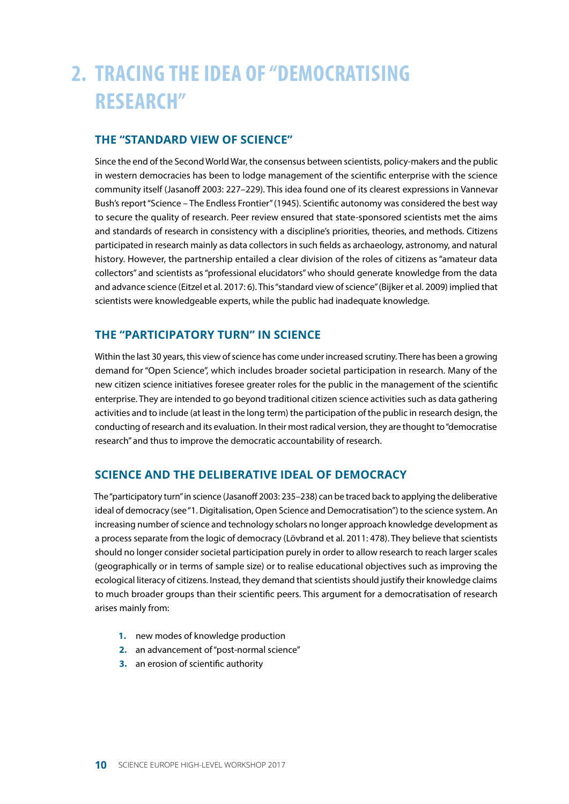# <span id="page-9-0"></span>**2. TRACING THE IDEA OF "DEMOCRATISING RESEARCH"**

#### **THE "STANDARD VIEW OF SCIENCE"**

Since the end of the Second World War, the consensus between scientists, policy-makers and the public in western democracies has been to lodge management of the scientific enterprise with the science community itself (Jasanoff 2003: 227–229). This idea found one of its clearest expressions in Vannevar Bush's report "Science – The Endless Frontier" (1945). Scientific autonomy was considered the best way to secure the quality of research. Peer review ensured that state-sponsored scientists met the aims and standards of research in consistency with a discipline's priorities, theories, and methods. Citizens participated in research mainly as data collectors in such fields as archaeology, astronomy, and natural history. However, the partnership entailed a clear division of the roles of citizens as "amateur data collectors" and scientists as "professional elucidators" who should generate knowledge from the data and advance science (Eitzel et al. 2017: 6). This "standard view of science" (Bijker et al. 2009) implied that scientists were knowledgeable experts, while the public had inadequate knowledge.

#### **THE "PARTICIPATORY TURN" IN SCIENCE**

Within the last 30 years, this view of science has come under increased scrutiny. There has been a growing demand for "Open Science", which includes broader societal participation in research. Many of the new citizen science initiatives foresee greater roles for the public in the management of the scientific enterprise. They are intended to go beyond traditional citizen science activities such as data gathering activities and to include (at least in the long term) the participation of the public in research design, the conducting of research and its evaluation. In their most radical version, they are thought to "democratise research" and thus to improve the democratic accountability of research.

#### **SCIENCE AND THE DELIBERATIVE IDEAL OF DEMOCRACY**

The "participatory turn" in science (Jasanoff 2003: 235–238) can be traced back to applying the deliberative ideal of democracy (see "1. Digitalisation, Open Science and Democratisation") to the science system. An increasing number of science and technology scholars no longer approach knowledge development as a process separate from the logic of democracy (Lövbrand et al. 2011: 478). They believe that scientists should no longer consider societal participation purely in order to allow research to reach larger scales (geographically or in terms of sample size) or to realise educational objectives such as improving the ecological literacy of citizens. Instead, they demand that scientists should justify their knowledge claims to much broader groups than their scientific peers. This argument for a democratisation of research arises mainly from:

- **1.** new modes of knowledge production
- **2.** an advancement of "post-normal science"
- **3.** an erosion of scientific authority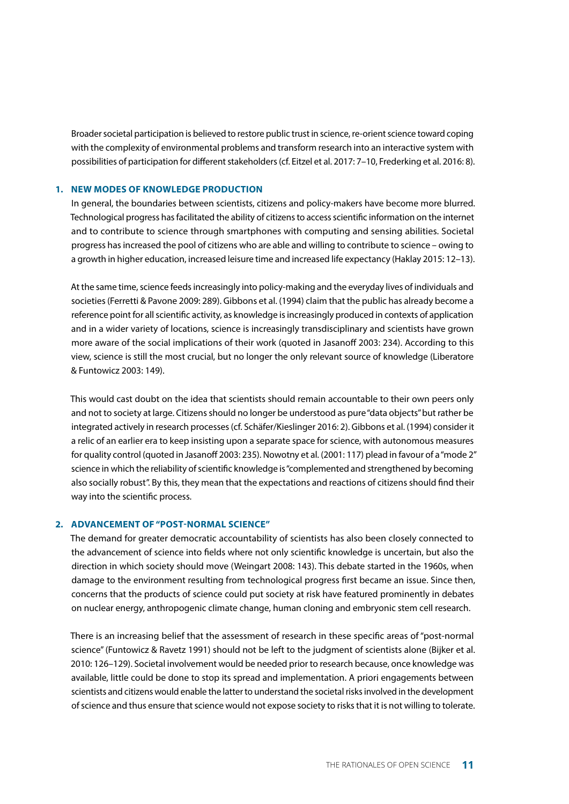Broader societal participation is believed to restore public trust in science, re-orient science toward coping with the complexity of environmental problems and transform research into an interactive system with possibilities of participation for different stakeholders (cf. Eitzel et al. 2017: 7–10, Frederking et al. 2016: 8).

#### **1. NEW MODES OF KNOWLEDGE PRODUCTION**

In general, the boundaries between scientists, citizens and policy-makers have become more blurred. Technological progress has facilitated the ability of citizens to access scientific information on the internet and to contribute to science through smartphones with computing and sensing abilities. Societal progress has increased the pool of citizens who are able and willing to contribute to science – owing to a growth in higher education, increased leisure time and increased life expectancy (Haklay 2015: 12–13).

At the same time, science feeds increasingly into policy-making and the everyday lives of individuals and societies (Ferretti & Pavone 2009: 289). Gibbons et al. (1994) claim that the public has already become a reference point for all scientific activity, as knowledge is increasingly produced in contexts of application and in a wider variety of locations, science is increasingly transdisciplinary and scientists have grown more aware of the social implications of their work (quoted in Jasanoff 2003: 234). According to this view, science is still the most crucial, but no longer the only relevant source of knowledge (Liberatore & Funtowicz 2003: 149).

This would cast doubt on the idea that scientists should remain accountable to their own peers only and not to society at large. Citizens should no longer be understood as pure "data objects" but rather be integrated actively in research processes (cf. Schäfer/Kieslinger 2016: 2). Gibbons et al. (1994) consider it a relic of an earlier era to keep insisting upon a separate space for science, with autonomous measures for quality control (quoted in Jasanoff 2003: 235). Nowotny et al. (2001: 117) plead in favour of a "mode 2" science in which the reliability of scientific knowledge is "complemented and strengthened by becoming also socially robust". By this, they mean that the expectations and reactions of citizens should find their way into the scientific process.

#### **2. ADVANCEMENT OF "POST-NORMAL SCIENCE"**

The demand for greater democratic accountability of scientists has also been closely connected to the advancement of science into fields where not only scientific knowledge is uncertain, but also the direction in which society should move (Weingart 2008: 143). This debate started in the 1960s, when damage to the environment resulting from technological progress first became an issue. Since then, concerns that the products of science could put society at risk have featured prominently in debates on nuclear energy, anthropogenic climate change, human cloning and embryonic stem cell research.

There is an increasing belief that the assessment of research in these specific areas of "post-normal science" (Funtowicz & Ravetz 1991) should not be left to the judgment of scientists alone (Bijker et al. 2010: 126–129). Societal involvement would be needed prior to research because, once knowledge was available, little could be done to stop its spread and implementation. A priori engagements between scientists and citizens would enable the latter to understand the societal risks involved in the development of science and thus ensure that science would not expose society to risks that it is not willing to tolerate.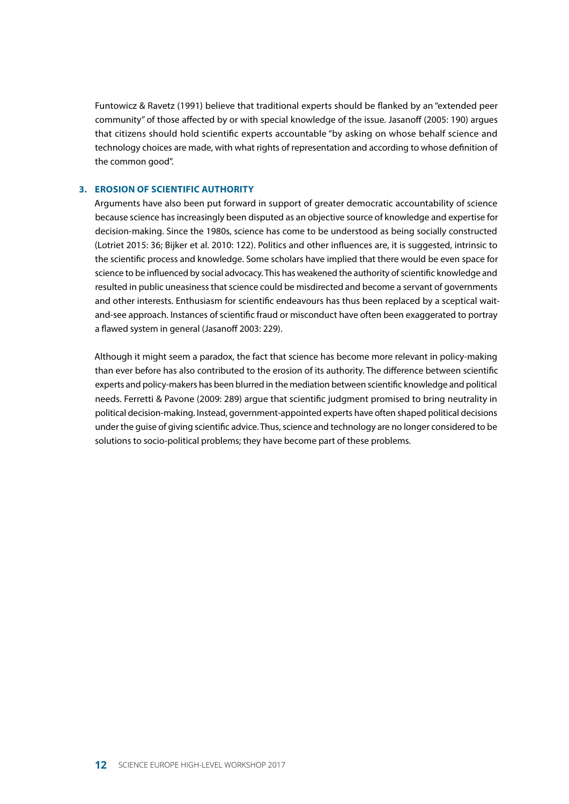Funtowicz & Ravetz (1991) believe that traditional experts should be flanked by an ''extended peer community'' of those affected by or with special knowledge of the issue. Jasanoff (2005: 190) argues that citizens should hold scientific experts accountable "by asking on whose behalf science and technology choices are made, with what rights of representation and according to whose definition of the common good".

#### **3. EROSION OF SCIENTIFIC AUTHORITY**

Arguments have also been put forward in support of greater democratic accountability of science because science has increasingly been disputed as an objective source of knowledge and expertise for decision-making. Since the 1980s, science has come to be understood as being socially constructed (Lotriet 2015: 36; Bijker et al. 2010: 122). Politics and other influences are, it is suggested, intrinsic to the scientific process and knowledge. Some scholars have implied that there would be even space for science to be influenced by social advocacy. This has weakened the authority of scientific knowledge and resulted in public uneasiness that science could be misdirected and become a servant of governments and other interests. Enthusiasm for scientific endeavours has thus been replaced by a sceptical waitand-see approach. Instances of scientific fraud or misconduct have often been exaggerated to portray a flawed system in general (Jasanoff 2003: 229).

Although it might seem a paradox, the fact that science has become more relevant in policy-making than ever before has also contributed to the erosion of its authority. The difference between scientific experts and policy-makers has been blurred in the mediation between scientific knowledge and political needs. Ferretti & Pavone (2009: 289) argue that scientific judgment promised to bring neutrality in political decision-making. Instead, government-appointed experts have often shaped political decisions under the guise of giving scientific advice. Thus, science and technology are no longer considered to be solutions to socio-political problems; they have become part of these problems.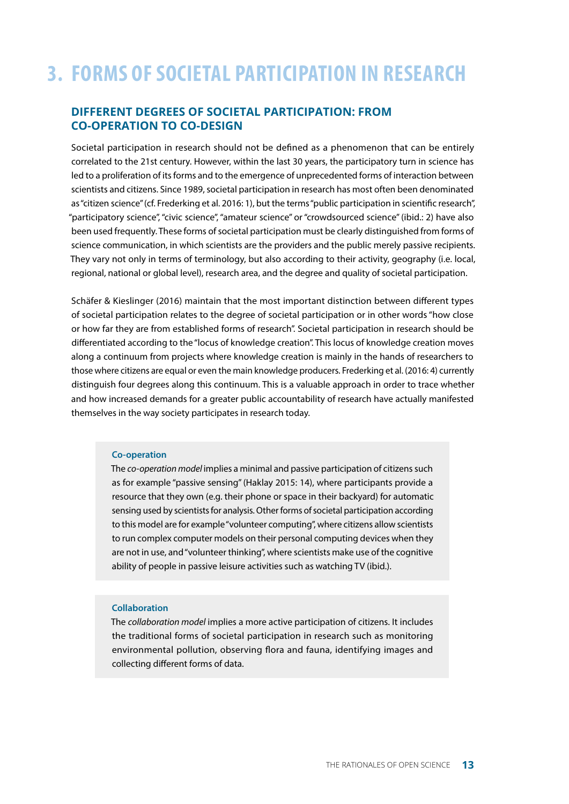## <span id="page-12-0"></span>**3. FORMS OF SOCIETAL PARTICIPATION IN RESEARCH**

#### **DIFFERENT DEGREES OF SOCIETAL PARTICIPATION: FROM CO‑OPERATION TO CO-DESIGN**

Societal participation in research should not be defined as a phenomenon that can be entirely correlated to the 21st century. However, within the last 30 years, the participatory turn in science has led to a proliferation of its forms and to the emergence of unprecedented forms of interaction between scientists and citizens. Since 1989, societal participation in research has most often been denominated as "citizen science" (cf. Frederking et al. 2016: 1), but the terms "public participation in scientific research", "participatory science", "civic science", "amateur science" or "crowdsourced science" (ibid.: 2) have also been used frequently. These forms of societal participation must be clearly distinguished from forms of science communication, in which scientists are the providers and the public merely passive recipients. They vary not only in terms of terminology, but also according to their activity, geography (i.e. local, regional, national or global level), research area, and the degree and quality of societal participation.

Schäfer & Kieslinger (2016) maintain that the most important distinction between different types of societal participation relates to the degree of societal participation or in other words "how close or how far they are from established forms of research". Societal participation in research should be differentiated according to the "locus of knowledge creation". This locus of knowledge creation moves along a continuum from projects where knowledge creation is mainly in the hands of researchers to those where citizens are equal or even the main knowledge producers. Frederking et al. (2016: 4) currently distinguish four degrees along this continuum. This is a valuable approach in order to trace whether and how increased demands for a greater public accountability of research have actually manifested themselves in the way society participates in research today.

#### **Co-operation**

The *co-operation model* implies a minimal and passive participation of citizens such as for example "passive sensing" (Haklay 2015: 14), where participants provide a resource that they own (e.g. their phone or space in their backyard) for automatic sensing used by scientists for analysis. Other forms of societal participation according to this model are for example "volunteer computing", where citizens allow scientists to run complex computer models on their personal computing devices when they are not in use, and "volunteer thinking", where scientists make use of the cognitive ability of people in passive leisure activities such as watching TV (ibid.).

#### **Collaboration**

The *collaboration model* implies a more active participation of citizens. It includes the traditional forms of societal participation in research such as monitoring environmental pollution, observing flora and fauna, identifying images and collecting different forms of data.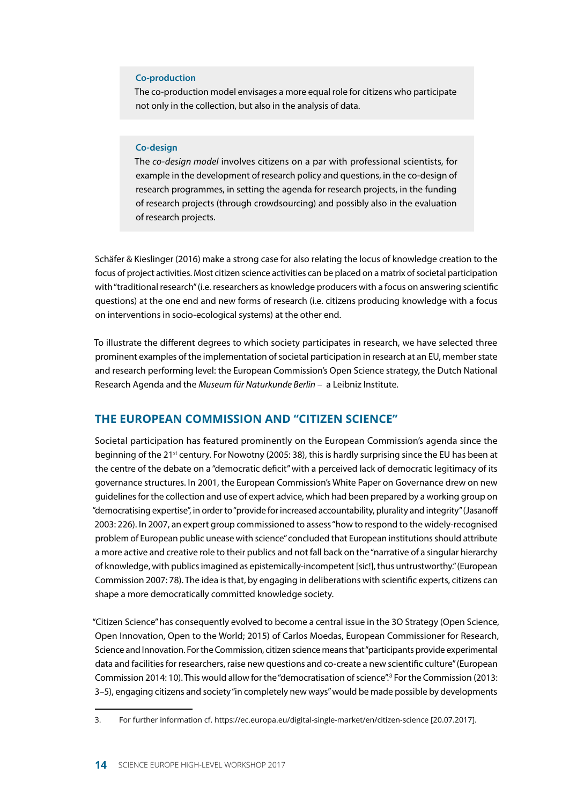#### <span id="page-13-0"></span>**Co-production**

The co-production model envisages a more equal role for citizens who participate not only in the collection, but also in the analysis of data.

#### **Co-design**

The *co-design model* involves citizens on a par with professional scientists, for example in the development of research policy and questions, in the co-design of research programmes, in setting the agenda for research projects, in the funding of research projects (through crowdsourcing) and possibly also in the evaluation of research projects.

Schäfer & Kieslinger (2016) make a strong case for also relating the locus of knowledge creation to the focus of project activities. Most citizen science activities can be placed on a matrix of societal participation with "traditional research" (i.e. researchers as knowledge producers with a focus on answering scientific questions) at the one end and new forms of research (i.e. citizens producing knowledge with a focus on interventions in socio-ecological systems) at the other end.

To illustrate the different degrees to which society participates in research, we have selected three prominent examples of the implementation of societal participation in research at an EU, member state and research performing level: the European Commission's Open Science strategy, the Dutch National Research Agenda and the *Museum für Naturkunde Berlin* – a Leibniz Institute.

#### **THE EUROPEAN COMMISSION AND "CITIZEN SCIENCE"**

Societal participation has featured prominently on the European Commission's agenda since the beginning of the 21<sup>st</sup> century. For Nowotny (2005: 38), this is hardly surprising since the EU has been at the centre of the debate on a "democratic deficit" with a perceived lack of democratic legitimacy of its governance structures. In 2001, the European Commission's White Paper on Governance drew on new guidelines for the collection and use of expert advice, which had been prepared by a working group on "democratising expertise", in order to "provide for increased accountability, plurality and integrity" (Jasanoff 2003: 226). In 2007, an expert group commissioned to assess "how to respond to the widely-recognised problem of European public unease with science" concluded that European institutions should attribute a more active and creative role to their publics and not fall back on the "narrative of a singular hierarchy of knowledge, with publics imagined as epistemically-incompetent [sic!], thus untrustworthy." (European Commission 2007: 78). The idea is that, by engaging in deliberations with scientific experts, citizens can shape a more democratically committed knowledge society.

"Citizen Science" has consequently evolved to become a central issue in the 3O Strategy (Open Science, Open Innovation, Open to the World; 2015) of Carlos Moedas, European Commissioner for Research, Science and Innovation. For the Commission, citizen science means that "participants provide experimental data and facilities for researchers, raise new questions and co-create a new scientific culture" (European Commission 2014: 10). This would allow for the "democratisation of science".<sup>3</sup> For the Commission (2013: 3–5), engaging citizens and society "in completely new ways" would be made possible by developments

<sup>3.</sup> For further information cf. https://ec.europa.eu/digital-single-market/en/citizen-science [20.07.2017].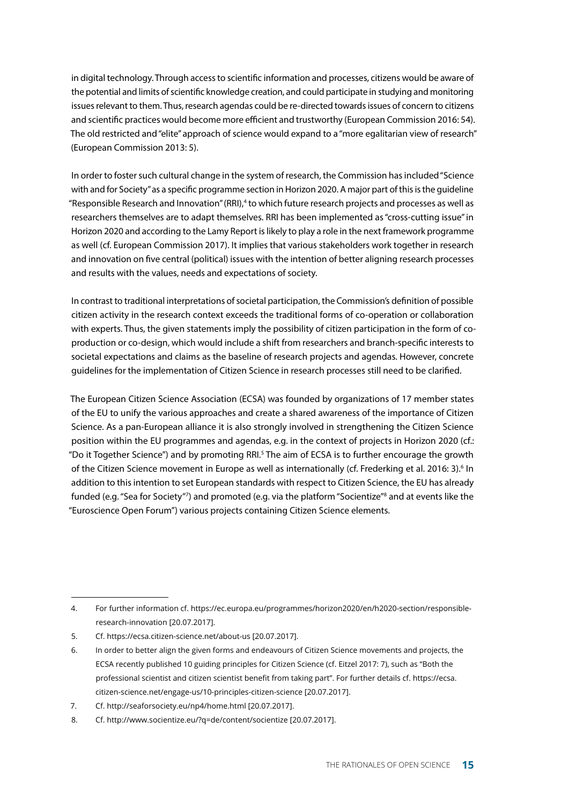in digital technology. Through access to scientific information and processes, citizens would be aware of the potential and limits of scientific knowledge creation, and could participate in studying and monitoring issues relevant to them. Thus, research agendas could be re-directed towards issues of concern to citizens and scientific practices would become more efficient and trustworthy (European Commission 2016: 54). The old restricted and "elite" approach of science would expand to a "more egalitarian view of research" (European Commission 2013: 5).

In order to foster such cultural change in the system of research, the Commission has included "Science with and for Society" as a specific programme section in Horizon 2020. A major part of this is the guideline "Responsible Research and Innovation" (RRI),4 to which future research projects and processes as well as researchers themselves are to adapt themselves. RRI has been implemented as "cross-cutting issue" in Horizon 2020 and according to the Lamy Report is likely to play a role in the next framework programme as well (cf. European Commission 2017). It implies that various stakeholders work together in research and innovation on five central (political) issues with the intention of better aligning research processes and results with the values, needs and expectations of society.

In contrast to traditional interpretations of societal participation, the Commission's definition of possible citizen activity in the research context exceeds the traditional forms of co-operation or collaboration with experts. Thus, the given statements imply the possibility of citizen participation in the form of coproduction or co-design, which would include a shift from researchers and branch-specific interests to societal expectations and claims as the baseline of research projects and agendas. However, concrete guidelines for the implementation of Citizen Science in research processes still need to be clarified.

The European Citizen Science Association (ECSA) was founded by organizations of 17 member states of the EU to unify the various approaches and create a shared awareness of the importance of Citizen Science. As a pan-European alliance it is also strongly involved in strengthening the Citizen Science position within the EU programmes and agendas, e.g. in the context of projects in Horizon 2020 (cf.: "Do it Together Science") and by promoting RRI.5 The aim of ECSA is to further encourage the growth of the Citizen Science movement in Europe as well as internationally (cf. Frederking et al. 2016: 3).<sup>6</sup> In addition to this intention to set European standards with respect to Citizen Science, the EU has already funded (e.g. "Sea for Society"<sup>7</sup>) and promoted (e.g. via the platform "Socientize"<sup>8</sup> and at events like the "Euroscience Open Forum") various projects containing Citizen Science elements.

<sup>4.</sup> For further information cf. https://ec.europa.eu/programmes/horizon2020/en/h2020-section/responsibleresearch-innovation [20.07.2017].

<sup>5.</sup> Cf. <https://ecsa.citizen-science.net/about-us> [20.07.2017].

<sup>6.</sup> In order to better align the given forms and endeavours of Citizen Science movements and projects, the ECSA recently published 10 guiding principles for Citizen Science (cf. Eitzel 2017: 7), such as "Both the professional scientist and citizen scientist benefit from taking part". For further details cf. https://ecsa. citizen-science.net/engage-us/10-principles-citizen-science [20.07.2017].

<sup>7.</sup> Cf. http://seaforsociety.eu/np4/home.html [20.07.2017].

<sup>8.</sup> Cf. http://www.socientize.eu/?q=de/content/socientize [20.07.2017].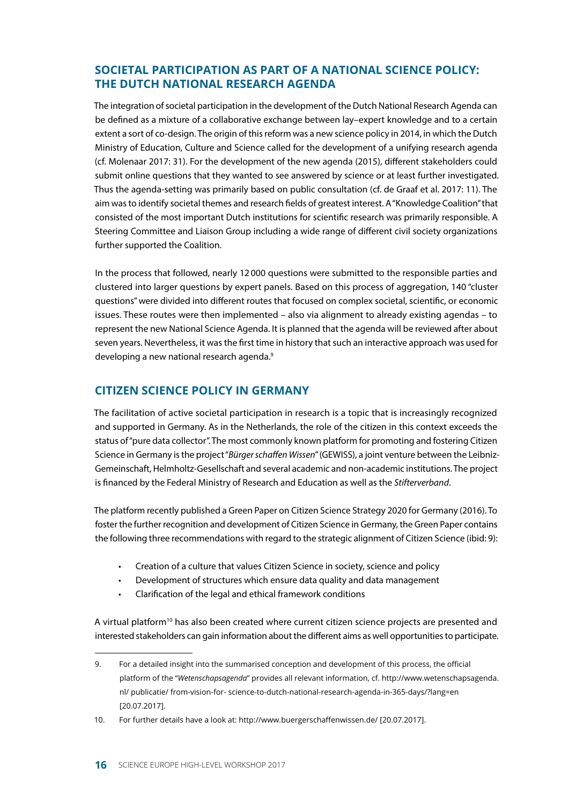#### <span id="page-15-0"></span>**SOCIETAL PARTICIPATION AS PART OF A NATIONAL SCIENCE POLICY: THE DUTCH NATIONAL RESEARCH AGENDA**

The integration of societal participation in the development of the Dutch National Research Agenda can be defined as a mixture of a collaborative exchange between lay–expert knowledge and to a certain extent a sort of co-design. The origin of this reform was a new science policy in 2014, in which the Dutch Ministry of Education, Culture and Science called for the development of a unifying research agenda (cf. Molenaar 2017: 31). For the development of the new agenda (2015), different stakeholders could submit online questions that they wanted to see answered by science or at least further investigated. Thus the agenda-setting was primarily based on public consultation (cf. de Graaf et al. 2017: 11). The aim was to identify societal themes and research fields of greatest interest. A "Knowledge Coalition" that consisted of the most important Dutch institutions for scientific research was primarily responsible. A Steering Committee and Liaison Group including a wide range of different civil society organizations further supported the Coalition.

In the process that followed, nearly 12 000 questions were submitted to the responsible parties and clustered into larger questions by expert panels. Based on this process of aggregation, 140 "cluster questions" were divided into different routes that focused on complex societal, scientific, or economic issues. These routes were then implemented – also via alignment to already existing agendas – to represent the new National Science Agenda. It is planned that the agenda will be reviewed after about seven years. Nevertheless, it was the first time in history that such an interactive approach was used for developing a new national research agenda.<sup>9</sup>

#### **CITIZEN SCIENCE POLICY IN GERMANY**

The facilitation of active societal participation in research is a topic that is increasingly recognized and supported in Germany. As in the Netherlands, the role of the citizen in this context exceeds the status of "pure data collector". The most commonly known platform for promoting and fostering Citizen Science in Germany is the project "*Bürger schaffen Wissen*" (GEWISS), a joint venture between the Leibniz-Gemeinschaft, Helmholtz-Gesellschaft and several academic and non-academic institutions. The project is financed by the Federal Ministry of Research and Education as well as the *Stifterverband*.

The platform recently published a Green Paper on Citizen Science Strategy 2020 for Germany (2016). To foster the further recognition and development of Citizen Science in Germany, the Green Paper contains the following three recommendations with regard to the strategic alignment of Citizen Science (ibid: 9):

- Creation of a culture that values Citizen Science in society, science and policy
- Development of structures which ensure data quality and data management
- Clarification of the legal and ethical framework conditions

A virtual platform<sup>10</sup> has also been created where current citizen science projects are presented and interested stakeholders can gain information about the different aims as well opportunities to participate.

<sup>9.</sup> For a detailed insight into the summarised conception and development of this process, the official platform of the "*Wetenschapsagenda*" provides all relevant information, cf. http://www.wetenschapsagenda. nl/ publicatie/ from-vision-for- science-to-dutch-national-research-agenda-in-365-days/?lang=en [20.07.2017].

<sup>10.</sup> For further details have a look at: http://www.buergerschaffenwissen.de/ [20.07.2017].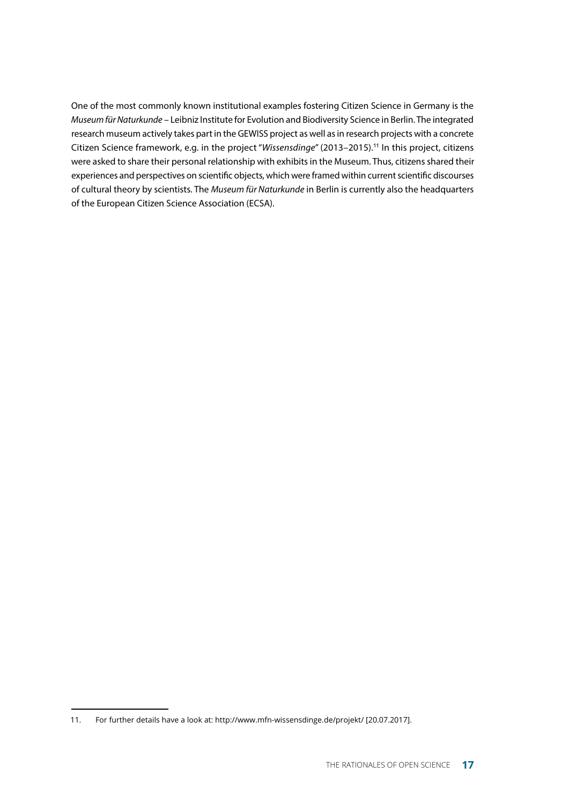One of the most commonly known institutional examples fostering Citizen Science in Germany is the *Museum für Naturkunde* – Leibniz Institute for Evolution and Biodiversity Science in Berlin. The integrated research museum actively takes part in the GEWISS project as well as in research projects with a concrete Citizen Science framework, e.g. in the project "*Wissensdinge*" (2013–2015).11 In this project, citizens were asked to share their personal relationship with exhibits in the Museum. Thus, citizens shared their experiences and perspectives on scientific objects, which were framed within current scientific discourses of cultural theory by scientists. The *Museum für Naturkunde* in Berlin is currently also the headquarters of the European Citizen Science Association (ECSA).

<sup>11.</sup> For further details have a look at: http://www.mfn-wissensdinge.de/projekt/ [20.07.2017].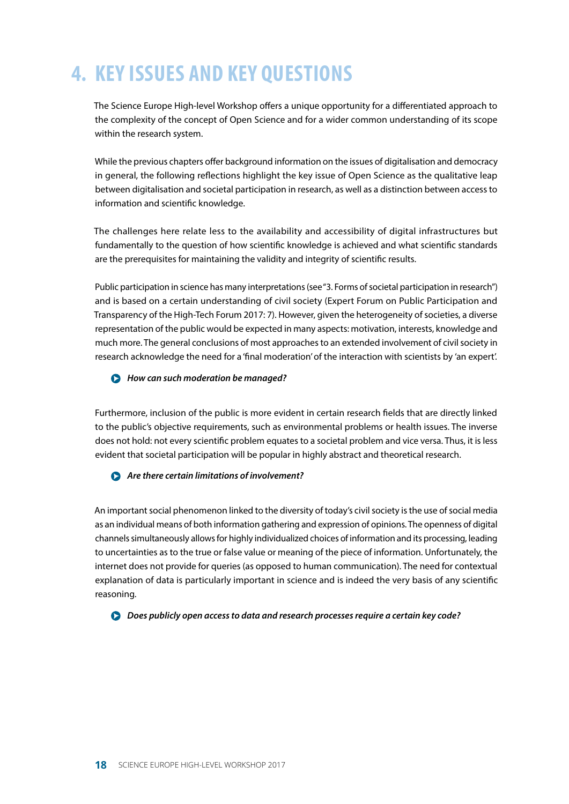# <span id="page-17-0"></span>**4. KEY ISSUES AND KEY QUESTIONS**

The Science Europe High-level Workshop offers a unique opportunity for a differentiated approach to the complexity of the concept of Open Science and for a wider common understanding of its scope within the research system.

While the previous chapters offer background information on the issues of digitalisation and democracy in general, the following reflections highlight the key issue of Open Science as the qualitative leap between digitalisation and societal participation in research, as well as a distinction between access to information and scientific knowledge.

The challenges here relate less to the availability and accessibility of digital infrastructures but fundamentally to the question of how scientific knowledge is achieved and what scientific standards are the prerequisites for maintaining the validity and integrity of scientific results.

Public participation in science has many interpretations (see "3. Forms of societal participation in research") and is based on a certain understanding of civil society (Expert Forum on Public Participation and Transparency of the High-Tech Forum 2017: 7). However, given the heterogeneity of societies, a diverse representation of the public would be expected in many aspects: motivation, interests, knowledge and much more. The general conclusions of most approaches to an extended involvement of civil society in research acknowledge the need for a 'final moderation' of the interaction with scientists by 'an expert'.

#### *How can such moderation be managed?*

Furthermore, inclusion of the public is more evident in certain research fields that are directly linked to the public's objective requirements, such as environmental problems or health issues. The inverse does not hold: not every scientific problem equates to a societal problem and vice versa. Thus, it is less evident that societal participation will be popular in highly abstract and theoretical research.

#### *Are there certain limitations of involvement?*

An important social phenomenon linked to the diversity of today's civil society is the use of social media as an individual means of both information gathering and expression of opinions. The openness of digital channels simultaneously allows for highly individualized choices of information and its processing, leading to uncertainties as to the true or false value or meaning of the piece of information. Unfortunately, the internet does not provide for queries (as opposed to human communication). The need for contextual explanation of data is particularly important in science and is indeed the very basis of any scientific reasoning.

#### *Does publicly open access to data and research processes require a certain key code?*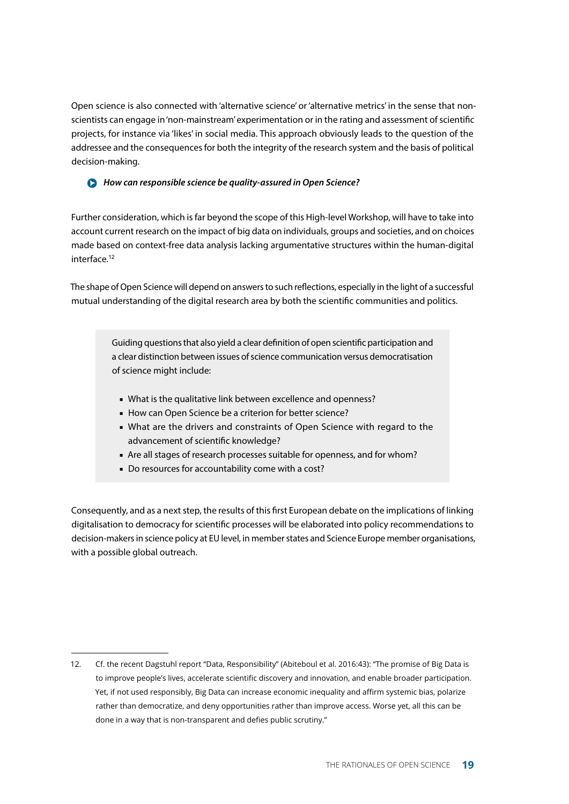Open science is also connected with 'alternative science' or 'alternative metrics' in the sense that nonscientists can engage in 'non-mainstream' experimentation or in the rating and assessment of scientific projects, for instance via 'likes' in social media. This approach obviously leads to the question of the addressee and the consequences for both the integrity of the research system and the basis of political decision-making.

#### *How can responsible science be quality-assured in Open Science?*

Further consideration, which is far beyond the scope of this High-level Workshop, will have to take into account current research on the impact of big data on individuals, groups and societies, and on choices made based on context-free data analysis lacking argumentative structures within the human-digital interface.<sup>12</sup>

The shape of Open Science will depend on answers to such reflections, especially in the light of a successful mutual understanding of the digital research area by both the scientific communities and politics.

> Guiding questions that also yield a clear definition of open scientific participation and a clear distinction between issues of science communication versus democratisation of science might include:

- What is the qualitative link between excellence and openness?
- How can Open Science be a criterion for better science?
- What are the drivers and constraints of Open Science with regard to the advancement of scientific knowledge?
- Are all stages of research processes suitable for openness, and for whom?
- Do resources for accountability come with a cost?

Consequently, and as a next step, the results of this first European debate on the implications of linking digitalisation to democracy for scientific processes will be elaborated into policy recommendations to decision-makers in science policy at EU level, in member states and Science Europe member organisations, with a possible global outreach.

<sup>12.</sup> Cf. the recent Dagstuhl report "Data, Responsibility" (Abiteboul et al. 2016:43): "The promise of Big Data is to improve people's lives, accelerate scientific discovery and innovation, and enable broader participation. Yet, if not used responsibly, Big Data can increase economic inequality and affirm systemic bias, polarize rather than democratize, and deny opportunities rather than improve access. Worse yet, all this can be done in a way that is non-transparent and defies public scrutiny."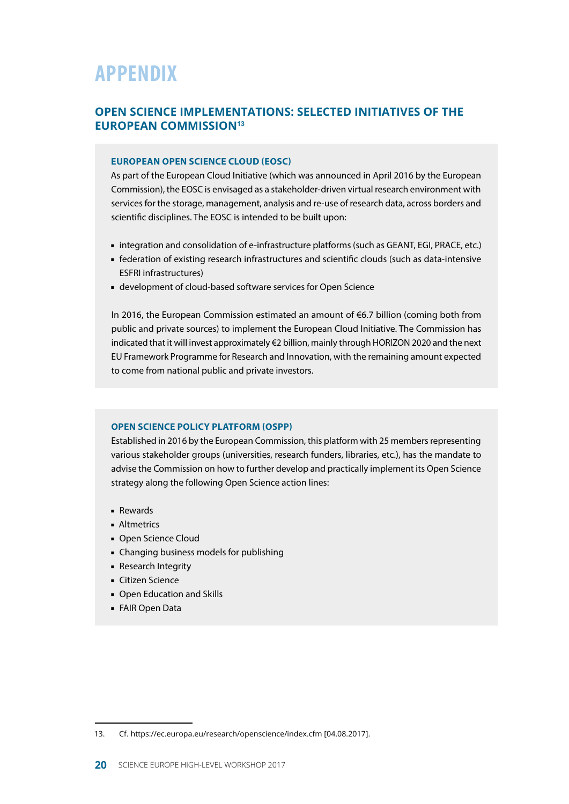## <span id="page-19-0"></span>**APPENDIX**

#### **OPEN SCIENCE IMPLEMENTATIONS: SELECTED INITIATIVES OF THE EUROPEAN COMMISSION<sup>13</sup>**

#### **EUROPEAN OPEN SCIENCE CLOUD (EOSC)**

As part of the European Cloud Initiative (which was announced in April 2016 by the European Commission), the EOSC is envisaged as a stakeholder-driven virtual research environment with services for the storage, management, analysis and re-use of research data, across borders and scientific disciplines. The EOSC is intended to be built upon:

- integration and consolidation of e-infrastructure platforms (such as GEANT, EGI, PRACE, etc.)
- federation of existing research infrastructures and scientific clouds (such as data-intensive ESFRI infrastructures)
- development of cloud-based software services for Open Science

In 2016, the European Commission estimated an amount of €6.7 billion (coming both from public and private sources) to implement the European Cloud Initiative. The Commission has indicated that it will invest approximately €2 billion, mainly through HORIZON 2020 and the next EU Framework Programme for Research and Innovation, with the remaining amount expected to come from national public and private investors.

#### **OPEN SCIENCE POLICY PLATFORM (OSPP)**

Established in 2016 by the European Commission, this platform with 25 members representing various stakeholder groups (universities, research funders, libraries, etc.), has the mandate to advise the Commission on how to further develop and practically implement its Open Science strategy along the following Open Science action lines:

- Rewards
- Altmetrics
- Open Science Cloud
- Changing business models for publishing
- Research Integrity
- Citizen Science
- Open Education and Skills
- FAIR Open Data

<sup>13.</sup> Cf. <https://ec.europa.eu/research/openscience/index.cfm> [04.08.2017].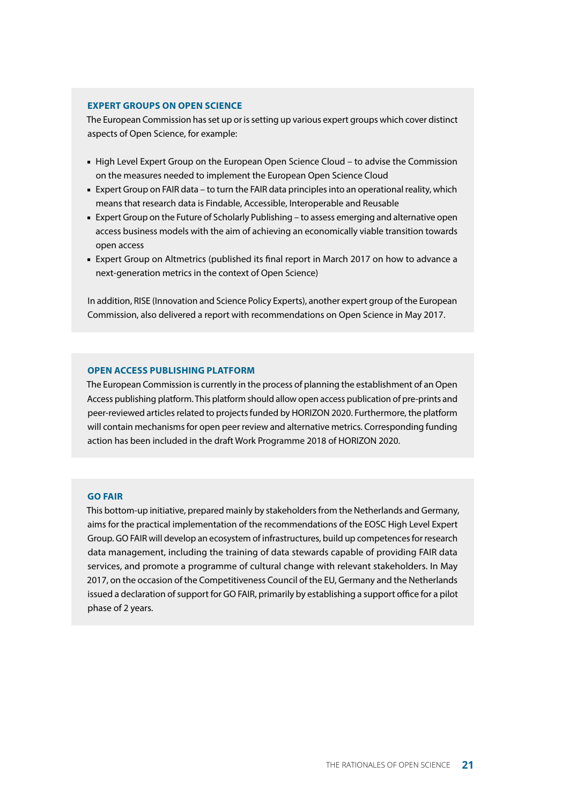#### **EXPERT GROUPS ON OPEN SCIENCE**

The European Commission has set up or is setting up various expert groups which cover distinct aspects of Open Science, for example:

- High Level Expert Group on the European Open Science Cloud to advise the Commission on the measures needed to implement the European Open Science Cloud
- Expert Group on FAIR data to turn the FAIR data principles into an operational reality, which means that research data is Findable, Accessible, Interoperable and Reusable
- Expert Group on the Future of Scholarly Publishing to assess emerging and alternative open access business models with the aim of achieving an economically viable transition towards open access
- Expert Group on Altmetrics (published its final report in March 2017 on how to advance a next-generation metrics in the context of Open Science)

In addition, RISE (Innovation and Science Policy Experts), another expert group of the European Commission, also delivered a report with recommendations on Open Science in May 2017.

#### **OPEN ACCESS PUBLISHING PLATFORM**

The European Commission is currently in the process of planning the establishment of an Open Access publishing platform. This platform should allow open access publication of pre-prints and peer-reviewed articles related to projects funded by HORIZON 2020. Furthermore, the platform will contain mechanisms for open peer review and alternative metrics. Corresponding funding action has been included in the draft Work Programme 2018 of HORIZON 2020.

#### **GO FAIR**

This bottom-up initiative, prepared mainly by stakeholders from the Netherlands and Germany, aims for the practical implementation of the recommendations of the EOSC High Level Expert Group. GO FAIR will develop an ecosystem of infrastructures, build up competences for research data management, including the training of data stewards capable of providing FAIR data services, and promote a programme of cultural change with relevant stakeholders. In May 2017, on the occasion of the Competitiveness Council of the EU, Germany and the Netherlands issued a declaration of support for GO FAIR, primarily by establishing a support office for a pilot phase of 2 years.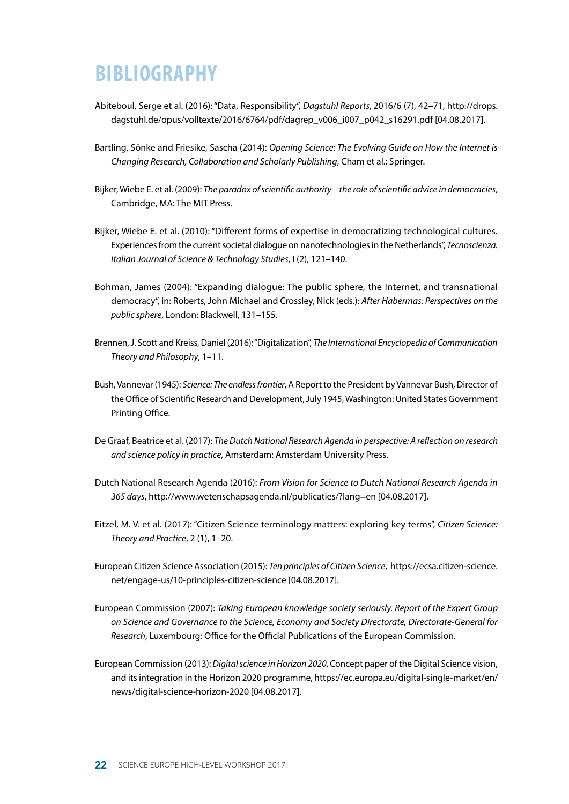## <span id="page-21-0"></span>**BIBLIOGRAPHY**

- Abiteboul, Serge et al. (2016): "Data, Responsibility", *Dagstuhl Reports*, 2016/6 (7), 42–71, http://drops. dagstuhl.de/opus/volltexte/2016/6764/pdf/dagrep\_v006\_i007\_p042\_s16291.pdf [04.08.2017].
- Bartling, Sönke and Friesike, Sascha (2014): *Opening Science: The Evolving Guide on How the Internet is Changing Research, Collaboration and Scholarly Publishing*, Cham et al.: Springer.
- Bijker, Wiebe E. et al. (2009): *The paradox of scientific authority the role of scientific advice in democracies*, Cambridge, MA: The MIT Press.
- Bijker, Wiebe E. et al. (2010): "Different forms of expertise in democratizing technological cultures. Experiences from the current societal dialogue on nanotechnologies in the Netherlands", *Tecnoscienza. Italian Journal of Science & Technology Studies*, I (2), 121–140.
- Bohman, James (2004): "Expanding dialogue: The public sphere, the Internet, and transnational democracy", in: Roberts, John Michael and Crossley, Nick (eds.): *After Habermas: Perspectives on the public sphere*, London: Blackwell, 131–155.
- Brennen, J. Scott and Kreiss, Daniel (2016): "Digitalization", *The International Encyclopedia of Communication Theory and Philosophy*, 1–11.
- Bush, Vannevar (1945): *Science: The endless frontier*, A Report to the President by Vannevar Bush, Director of the Office of Scientific Research and Development, July 1945, Washington: United States Government Printing Office.
- De Graaf, Beatrice et al. (2017): *The Dutch National Research Agenda in perspective: A reflection on research and science policy in practice*, Amsterdam: Amsterdam University Press.
- Dutch National Research Agenda (2016): *From Vision for Science to Dutch National Research Agenda in 365 days*, http://www.wetenschapsagenda.nl/publicaties/?lang=en [04.08.2017].
- Eitzel, M. V. et al. (2017): "Citizen Science terminology matters: exploring key terms", *Citizen Science: Theory and Practice*, 2 (1), 1–20.
- European Citizen Science Association (2015): *Ten principles of Citizen Science*, https://ecsa.citizen-science. net/engage-us/10-principles-citizen-science [04.08.2017].
- European Commission (2007): *Taking European knowledge society seriously. Report of the Expert Group on Science and Governance to the Science, Economy and Society Directorate, Directorate-General for Research*, Luxembourg: Office for the Official Publications of the European Commission.
- European Commission (2013): *Digital science in Horizon 2020*, Concept paper of the Digital Science vision, and its integration in the Horizon 2020 programme, https://ec.europa.eu/digital-single-market/en/ news/digital-science-horizon-2020 [04.08.2017].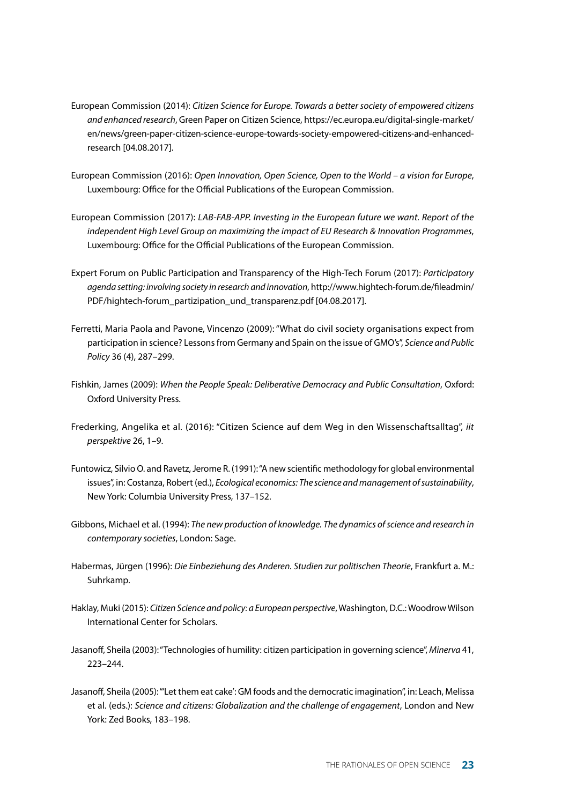- European Commission (2014): *Citizen Science for Europe. Towards a better society of empowered citizens and enhanced research*, Green Paper on Citizen Science, https://ec.europa.eu/digital-single-market/ en/news/green-paper-citizen-science-europe-towards-society-empowered-citizens-and-enhancedresearch [04.08.2017].
- European Commission (2016): *Open Innovation, Open Science, Open to the World a vision for Europe*, Luxembourg: Office for the Official Publications of the European Commission.
- European Commission (2017): *LAB-FAB-APP. Investing in the European future we want. Report of the independent High Level Group on maximizing the impact of EU Research & Innovation Programmes*, Luxembourg: Office for the Official Publications of the European Commission.
- Expert Forum on Public Participation and Transparency of the High-Tech Forum (2017): *Participatory agenda setting: involving society in research and innovation*, http://www.hightech-forum.de/fileadmin/ PDF/hightech-forum\_partizipation\_und\_transparenz.pdf [04.08.2017].
- Ferretti, Maria Paola and Pavone, Vincenzo (2009): "What do civil society organisations expect from participation in science? Lessons from Germany and Spain on the issue of GMO's", *Science and Public Policy* 36 (4), 287–299.
- Fishkin, James (2009): *When the People Speak: Deliberative Democracy and Public Consultation*, Oxford: Oxford University Press.
- Frederking, Angelika et al. (2016): "Citizen Science auf dem Weg in den Wissenschaftsalltag", *iit perspektive* 26, 1–9.
- Funtowicz, Silvio O. and Ravetz, Jerome R. (1991): "A new scientific methodology for global environmental issues", in: Costanza, Robert (ed.), *Ecological economics: The science and management of sustainability*, New York: Columbia University Press, 137–152.
- Gibbons, Michael et al. (1994): *The new production of knowledge. The dynamics of science and research in contemporary societies*, London: Sage.
- Habermas, Jürgen (1996): *Die Einbeziehung des Anderen. Studien zur politischen Theorie*, Frankfurt a. M.: Suhrkamp.
- Haklay, Muki (2015): *Citizen Science and policy: a European perspective*, Washington, D.C.: Woodrow Wilson International Center for Scholars.
- Jasanoff, Sheila (2003): "Technologies of humility: citizen participation in governing science", *Minerva* 41, 223–244.
- Jasanoff, Sheila (2005): "'Let them eat cake': GM foods and the democratic imagination", in: Leach, Melissa et al. (eds.): *Science and citizens: Globalization and the challenge of engagement*, London and New York: Zed Books, 183–198.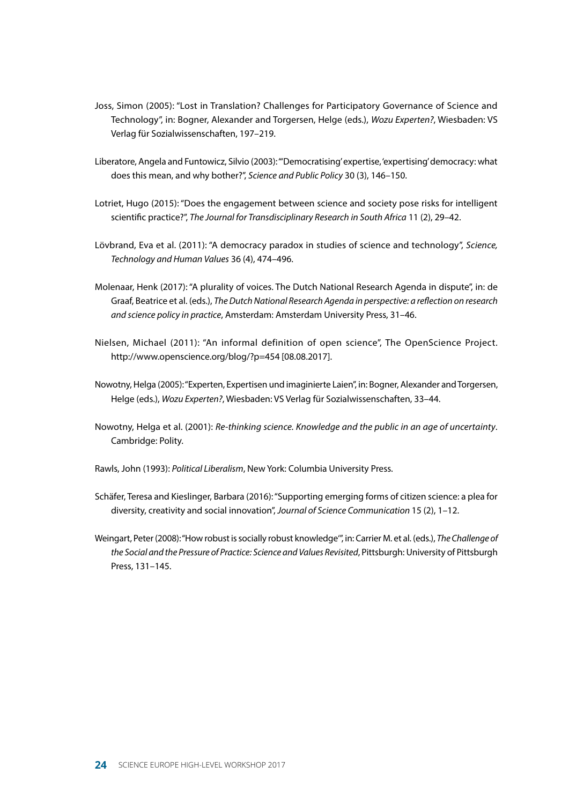- Joss, Simon (2005): "Lost in Translation? Challenges for Participatory Governance of Science and Technology", in: Bogner, Alexander and Torgersen, Helge (eds.), *Wozu Experten?*, Wiesbaden: VS Verlag für Sozialwissenschaften, 197–219.
- Liberatore, Angela and Funtowicz, Silvio (2003): "'Democratising' expertise, 'expertising' democracy: what does this mean, and why bother?", *Science and Public Policy* 30 (3), 146–150.
- Lotriet, Hugo (2015): "Does the engagement between science and society pose risks for intelligent scientific practice?", *The Journal for Transdisciplinary Research in South Africa* 11 (2), 29–42.
- Lövbrand, Eva et al. (2011): "A democracy paradox in studies of science and technology", *Science, Technology and Human Values* 36 (4), 474–496.
- Molenaar, Henk (2017): "A plurality of voices. The Dutch National Research Agenda in dispute", in: de Graaf, Beatrice et al. (eds.), *The Dutch National Research Agenda in perspective: a reflection on research and science policy in practice*, Amsterdam: Amsterdam University Press, 31–46.
- Nielsen, Michael (2011): "An informal definition of open science", The OpenScience Project. http://www.openscience.org/blog/?p=454 [08.08.2017].
- Nowotny, Helga (2005): "Experten, Expertisen und imaginierte Laien", in: Bogner, Alexander and Torgersen, Helge (eds.), *Wozu Experten?*, Wiesbaden: VS Verlag für Sozialwissenschaften, 33–44.
- Nowotny, Helga et al. (2001): *Re-thinking science. Knowledge and the public in an age of uncertainty*. Cambridge: Polity.
- Rawls, John (1993): *Political Liberalism*, New York: Columbia University Press.
- Schäfer, Teresa and Kieslinger, Barbara (2016): "Supporting emerging forms of citizen science: a plea for diversity, creativity and social innovation", *Journal of Science Communication* 15 (2), 1–12.
- Weingart, Peter (2008): "How robust is socially robust knowledge'", in: Carrier M. et al. (eds.), *The Challenge of the Social and the Pressure of Practice: Science and Values Revisited*, Pittsburgh: University of Pittsburgh Press, 131–145.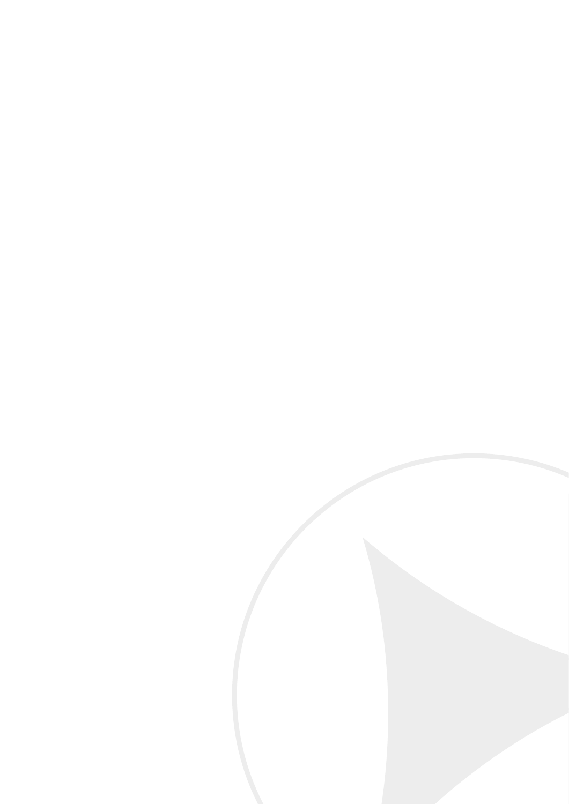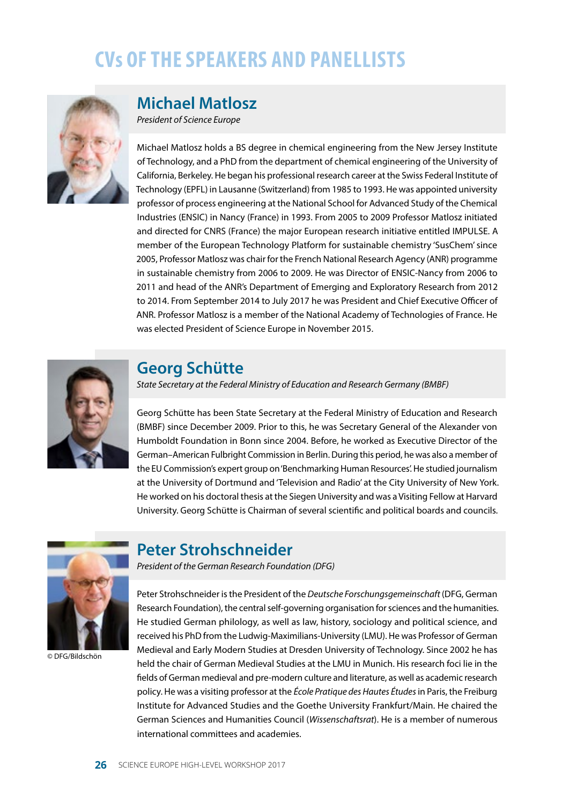# **CVs OF THE SPEAKERS AND PANELLISTS**

<span id="page-25-0"></span>

### **Michael Matlosz**

*President of Science Europe*

Michael Matlosz holds a BS degree in chemical engineering from the New Jersey Institute of Technology, and a PhD from the department of chemical engineering of the University of California, Berkeley. He began his professional research career at the Swiss Federal Institute of Technology (EPFL) in Lausanne (Switzerland) from 1985 to 1993. He was appointed university professor of process engineering at the National School for Advanced Study of the Chemical Industries (ENSIC) in Nancy (France) in 1993. From 2005 to 2009 Professor Matlosz initiated and directed for CNRS (France) the major European research initiative entitled IMPULSE. A member of the European Technology Platform for sustainable chemistry 'SusChem' since 2005, Professor Matlosz was chair for the French National Research Agency (ANR) programme in sustainable chemistry from 2006 to 2009. He was Director of ENSIC-Nancy from 2006 to 2011 and head of the ANR's Department of Emerging and Exploratory Research from 2012 to 2014. From September 2014 to July 2017 he was President and Chief Executive Officer of ANR. Professor Matlosz is a member of the National Academy of Technologies of France. He was elected President of Science Europe in November 2015.



### **Georg Schütte**

*State Secretary at the Federal Ministry of Education and Research Germany (BMBF)*

Georg Schütte has been State Secretary at the Federal Ministry of Education and Research (BMBF) since December 2009. Prior to this, he was Secretary General of the Alexander von Humboldt Foundation in Bonn since 2004. Before, he worked as Executive Director of the German–American Fulbright Commission in Berlin. During this period, he was also a member of the EU Commission's expert group on 'Benchmarking Human Resources'. He studied journalism at the University of Dortmund and 'Television and Radio' at the City University of New York. He worked on his doctoral thesis at the Siegen University and was a Visiting Fellow at Harvard University. Georg Schütte is Chairman of several scientific and political boards and councils.



© DFG/Bildschön

### **Peter Strohschneider**

*President of the German Research Foundation (DFG)*

Peter Strohschneider is the President of the *Deutsche Forschungsgemeinschaft* (DFG, German Research Foundation), the central self-governing organisation for sciences and the humanities. He studied German philology, as well as law, history, sociology and political science, and received his PhD from the Ludwig-Maximilians-University (LMU). He was Professor of German Medieval and Early Modern Studies at Dresden University of Technology. Since 2002 he has held the chair of German Medieval Studies at the LMU in Munich. His research foci lie in the fields of German medieval and pre-modern culture and literature, as well as academic research policy. He was a visiting professor at the *École Pratique des Hautes Études* in Paris, the Freiburg Institute for Advanced Studies and the Goethe University Frankfurt/Main. He chaired the German Sciences and Humanities Council (*Wissenschaftsrat*). He is a member of numerous international committees and academies.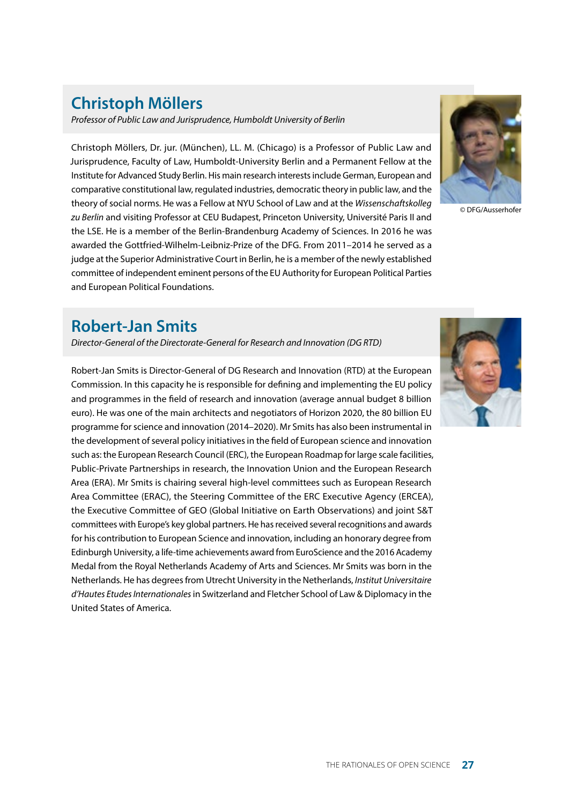## **Christoph Möllers**

*Professor of Public Law and Jurisprudence, Humboldt University of Berlin*

Christoph Möllers, Dr. jur. (München), LL. M. (Chicago) is a Professor of Public Law and Jurisprudence, Faculty of Law, Humboldt-University Berlin and a Permanent Fellow at the Institute for Advanced Study Berlin. His main research interests include German, European and comparative constitutional law, regulated industries, democratic theory in public law, and the theory of social norms. He was a Fellow at NYU School of Law and at the *Wissenschaftskolleg zu Berlin* and visiting Professor at CEU Budapest, Princeton University, Université Paris II and the LSE. He is a member of the Berlin-Brandenburg Academy of Sciences. In 2016 he was awarded the Gottfried-Wilhelm-Leibniz-Prize of the DFG. From 2011–2014 he served as a judge at the Superior Administrative Court in Berlin, he is a member of the newly established committee of independent eminent persons of the EU Authority for European Political Parties and European Political Foundations.



© DFG/Ausserhofer

### **Robert-Jan Smits**

*Director-General of the Directorate-General for Research and Innovation (DG RTD)*

Robert-Jan Smits is Director-General of DG Research and Innovation (RTD) at the European Commission. In this capacity he is responsible for defining and implementing the EU policy and programmes in the field of research and innovation (average annual budget 8 billion euro). He was one of the main architects and negotiators of Horizon 2020, the 80 billion EU programme for science and innovation (2014–2020). Mr Smits has also been instrumental in the development of several policy initiatives in the field of European science and innovation such as: the European Research Council (ERC), the European Roadmap for large scale facilities, Public-Private Partnerships in research, the Innovation Union and the European Research Area (ERA). Mr Smits is chairing several high-level committees such as European Research Area Committee (ERAC), the Steering Committee of the ERC Executive Agency (ERCEA), the Executive Committee of GEO (Global Initiative on Earth Observations) and joint S&T committees with Europe's key global partners. He has received several recognitions and awards for his contribution to European Science and innovation, including an honorary degree from Edinburgh University, a life-time achievements award from EuroScience and the 2016 Academy Medal from the Royal Netherlands Academy of Arts and Sciences. Mr Smits was born in the Netherlands. He has degrees from Utrecht University in the Netherlands, *Institut Universitaire d'Hautes Etudes Internationales* in Switzerland and Fletcher School of Law & Diplomacy in the United States of America.

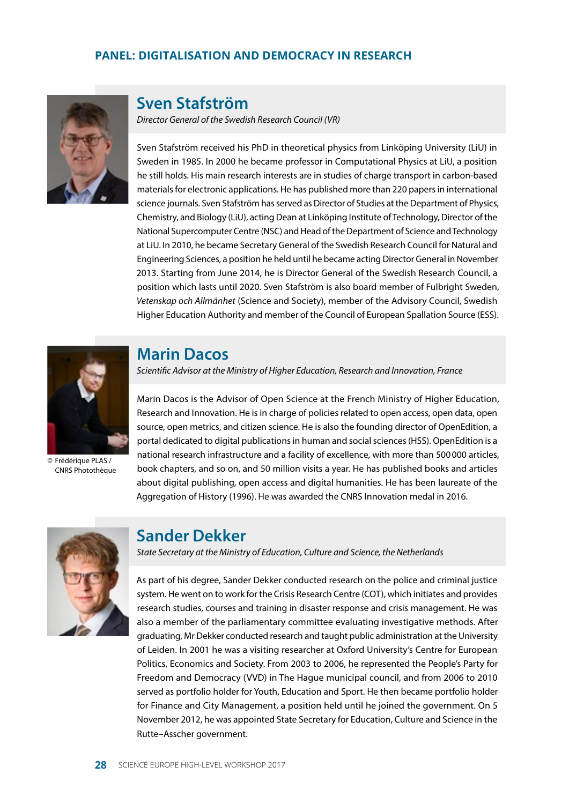#### **PANEL: DIGITALISATION AND DEMOCRACY IN RESEARCH**



## **Sven Stafström**

*Director General of the Swedish Research Council (VR)*

Sven Stafström received his PhD in theoretical physics from Linköping University (LiU) in Sweden in 1985. In 2000 he became professor in Computational Physics at LiU, a position he still holds. His main research interests are in studies of charge transport in carbon-based materials for electronic applications. He has published more than 220 papers in international science journals. Sven Stafström has served as Director of Studies at the Department of Physics, Chemistry, and Biology (LiU), acting Dean at Linköping Institute of Technology, Director of the National Supercomputer Centre (NSC) and Head of the Department of Science and Technology at LiU. In 2010, he became Secretary General of the Swedish Research Council for Natural and Engineering Sciences, a position he held until he became acting Director General in November 2013. Starting from June 2014, he is Director General of the Swedish Research Council, a position which lasts until 2020. Sven Stafström is also board member of Fulbright Sweden, *Vetenskap och Allmänhet* (Science and Society), member of the Advisory Council, Swedish Higher Education Authority and member of the Council of European Spallation Source (ESS).



© Frédérique PLAS / CNRS Photothèque

### **Marin Dacos**

*Scientific Advisor at the Ministry of Higher Education, Research and Innovation, France*

Marin Dacos is the Advisor of Open Science at the French Ministry of Higher Education, Research and Innovation. He is in charge of policies related to open access, open data, open source, open metrics, and citizen science. He is also the founding director of OpenEdition, a portal dedicated to digital publications in human and social sciences (HSS). OpenEdition is a national research infrastructure and a facility of excellence, with more than 500000 articles, book chapters, and so on, and 50 million visits a year. He has published books and articles about digital publishing, open access and digital humanities. He has been laureate of the Aggregation of History (1996). He was awarded the CNRS Innovation medal in 2016.



### **Sander Dekker**

*State Secretary at the Ministry of Education, Culture and Science, the Netherlands*

As part of his degree, Sander Dekker conducted research on the police and criminal justice system. He went on to work for the Crisis Research Centre (COT), which initiates and provides research studies, courses and training in disaster response and crisis management. He was also a member of the parliamentary committee evaluating investigative methods. After graduating, Mr Dekker conducted research and taught public administration at the University of Leiden. In 2001 he was a visiting researcher at Oxford University's Centre for European Politics, Economics and Society. From 2003 to 2006, he represented the People's Party for Freedom and Democracy (VVD) in The Hague municipal council, and from 2006 to 2010 served as portfolio holder for Youth, Education and Sport. He then became portfolio holder for Finance and City Management, a position held until he joined the government. On 5 November 2012, he was appointed State Secretary for Education, Culture and Science in the Rutte–Asscher government.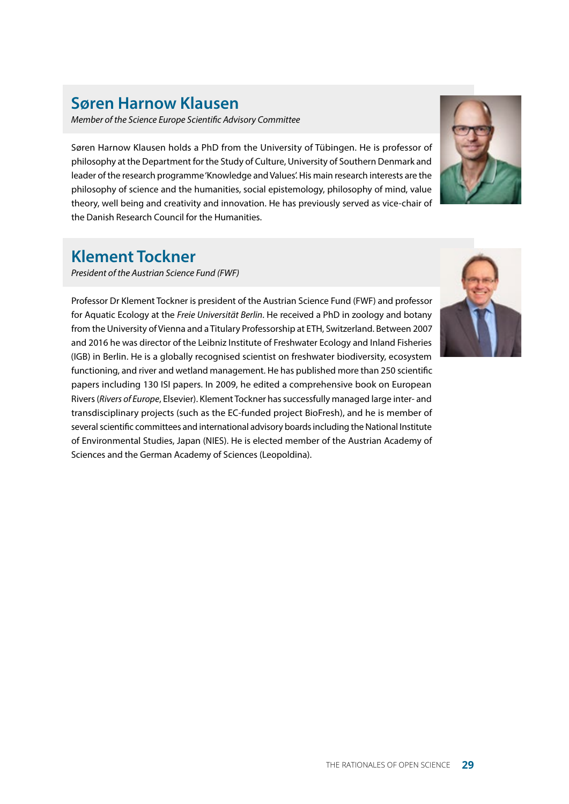## **Søren Harnow Klausen**

*Member of the Science Europe Scientific Advisory Committee*

Søren Harnow Klausen holds a PhD from the University of Tübingen. He is professor of philosophy at the Department for the Study of Culture, University of Southern Denmark and leader of the research programme 'Knowledge and Values'. His main research interests are the philosophy of science and the humanities, social epistemology, philosophy of mind, value theory, well being and creativity and innovation. He has previously served as vice-chair of the Danish Research Council for the Humanities.

### **Klement Tockner**

*President of the Austrian Science Fund (FWF)*

Professor Dr Klement Tockner is president of the Austrian Science Fund (FWF) and professor for Aquatic Ecology at the *Freie Universität Berlin*. He received a PhD in zoology and botany from the University of Vienna and a Titulary Professorship at ETH, Switzerland. Between 2007 and 2016 he was director of the Leibniz Institute of Freshwater Ecology and Inland Fisheries (IGB) in Berlin. He is a globally recognised scientist on freshwater biodiversity, ecosystem functioning, and river and wetland management. He has published more than 250 scientific papers including 130 ISI papers. In 2009, he edited a comprehensive book on European Rivers (*Rivers of Europe*, Elsevier). Klement Tockner has successfully managed large inter- and transdisciplinary projects (such as the EC-funded project BioFresh), and he is member of several scientific committees and international advisory boards including the National Institute of Environmental Studies, Japan (NIES). He is elected member of the Austrian Academy of Sciences and the German Academy of Sciences (Leopoldina).



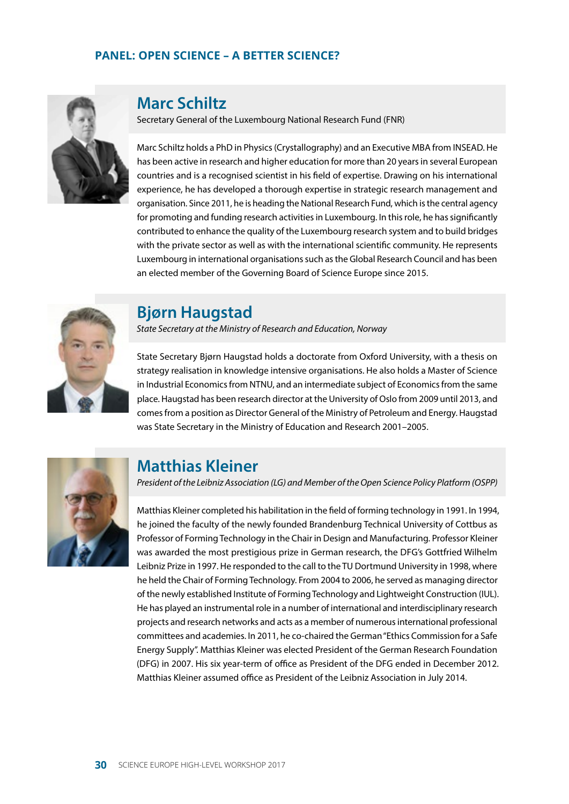#### **PANEL: OPEN SCIENCE – A BETTER SCIENCE?**



## **Marc Schiltz**

Secretary General of the Luxembourg National Research Fund (FNR)

Marc Schiltz holds a PhD in Physics (Crystallography) and an Executive MBA from INSEAD. He has been active in research and higher education for more than 20 years in several European countries and is a recognised scientist in his field of expertise. Drawing on his international experience, he has developed a thorough expertise in strategic research management and organisation. Since 2011, he is heading the National Research Fund, which is the central agency for promoting and funding research activities in Luxembourg. In this role, he has significantly contributed to enhance the quality of the Luxembourg research system and to build bridges with the private sector as well as with the international scientific community. He represents Luxembourg in international organisations such as the Global Research Council and has been an elected member of the Governing Board of Science Europe since 2015.



## **Bjørn Haugstad**

*State Secretary at the Ministry of Research and Education, Norway*

State Secretary Bjørn Haugstad holds a doctorate from Oxford University, with a thesis on strategy realisation in knowledge intensive organisations. He also holds a Master of Science in Industrial Economics from NTNU, and an intermediate subject of Economics from the same place. Haugstad has been research director at the University of Oslo from 2009 until 2013, and comes from a position as Director General of the Ministry of Petroleum and Energy. Haugstad was State Secretary in the Ministry of Education and Research 2001–2005.



### **Matthias Kleiner**

*President of the Leibniz Association (LG) and Member of the Open Science Policy Platform (OSPP)*

Matthias Kleiner completed his habilitation in the field of forming technology in 1991. In 1994, he joined the faculty of the newly founded Brandenburg Technical University of Cottbus as Professor of Forming Technology in the Chair in Design and Manufacturing. Professor Kleiner was awarded the most prestigious prize in German research, the DFG's Gottfried Wilhelm Leibniz Prize in 1997. He responded to the call to the TU Dortmund University in 1998, where he held the Chair of Forming Technology. From 2004 to 2006, he served as managing director of the newly established Institute of Forming Technology and Lightweight Construction (IUL). He has played an instrumental role in a number of international and interdisciplinary research projects and research networks and acts as a member of numerous international professional committees and academies. In 2011, he co-chaired the German "Ethics Commission for a Safe Energy Supply". Matthias Kleiner was elected President of the German Research Foundation (DFG) in 2007. His six year-term of office as President of the DFG ended in December 2012. Matthias Kleiner assumed office as President of the Leibniz Association in July 2014.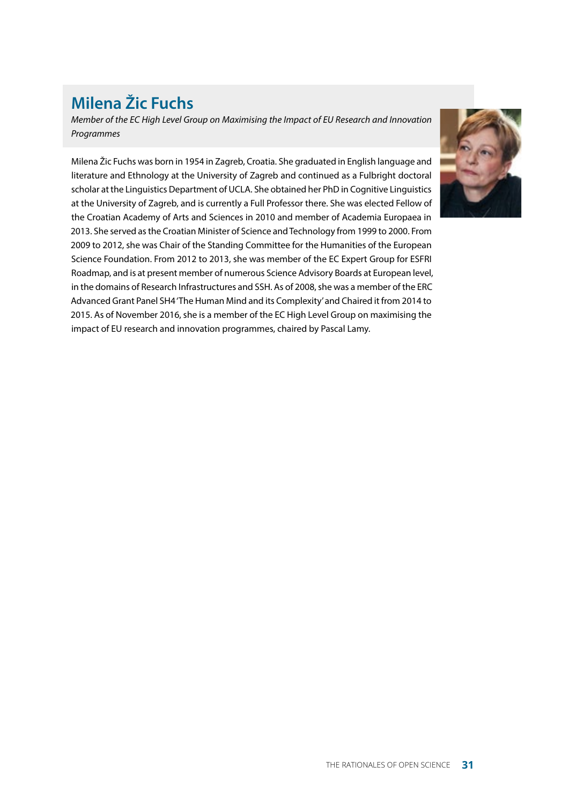## **Milena Žic Fuchs**

*Member of the EC High Level Group on Maximising the Impact of EU Research and Innovation Programmes*

Milena Žic Fuchs was born in 1954 in Zagreb, Croatia. She graduated in English language and literature and Ethnology at the University of Zagreb and continued as a Fulbright doctoral scholar at the Linguistics Department of UCLA. She obtained her PhD in Cognitive Linguistics at the University of Zagreb, and is currently a Full Professor there. She was elected Fellow of the Croatian Academy of Arts and Sciences in 2010 and member of Academia Europaea in 2013. She served as the Croatian Minister of Science and Technology from 1999 to 2000. From 2009 to 2012, she was Chair of the Standing Committee for the Humanities of the European Science Foundation. From 2012 to 2013, she was member of the EC Expert Group for ESFRI Roadmap, and is at present member of numerous Science Advisory Boards at European level, in the domains of Research Infrastructures and SSH. As of 2008, she was a member of the ERC Advanced Grant Panel SH4 'The Human Mind and its Complexity' and Chaired it from 2014 to 2015. As of November 2016, she is a member of the EC High Level Group on maximising the impact of EU research and innovation programmes, chaired by Pascal Lamy.